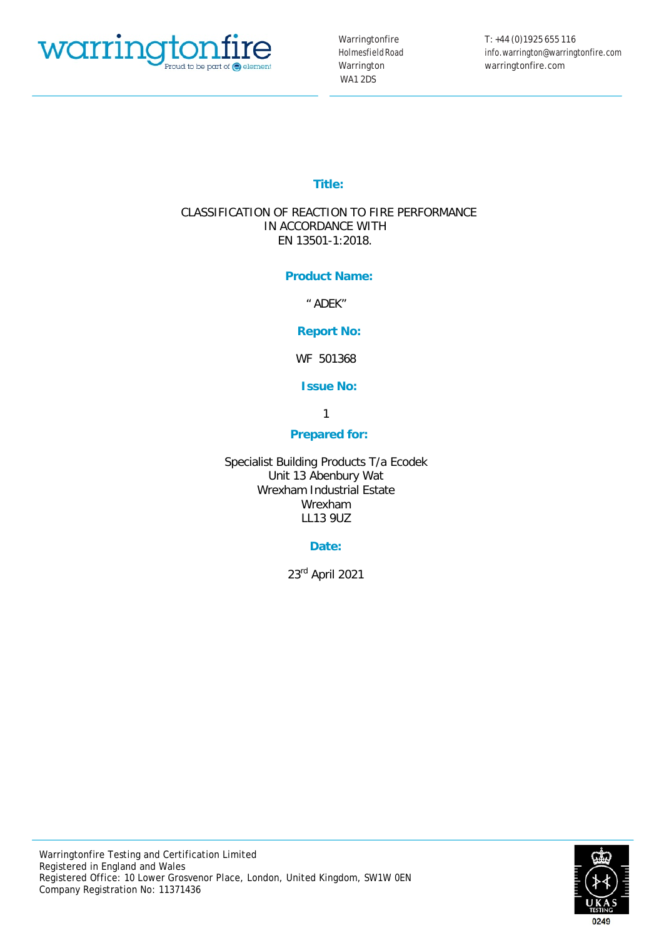

Warringtonfire HolmesfieldRoad Warrington WA1 2DS

T: +44 (0)1925 655 116 info.warrington@warringtonfire.com warringtonfire.com

# **Title:**

# CLASSIFICATION OF REACTION TO FIRE PERFORMANCE IN ACCORDANCE WITH EN 13501-1:2018.

# **Product Name:**

" ADEK"

# **Report No:**

WF 501368

# **Issue No:**

1

# **Prepared for:**

Specialist Building Products T/a Ecodek Unit 13 Abenbury Wat Wrexham Industrial Estate Wrexham LL13 9UZ

# **Date:**

23rd April 2021

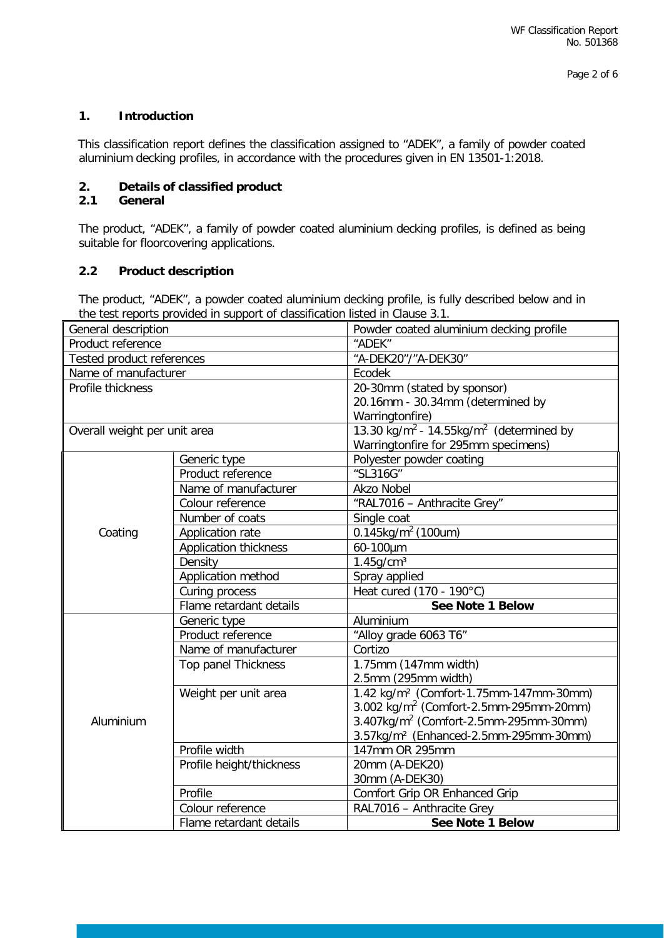# **1. Introduction**

This classification report defines the classification assigned to "ADEK", a family of powder coated aluminium decking profiles, in accordance with the procedures given in EN 13501-1:2018.

## **2. Details of classified product**

#### **2.1 General**

The product, "ADEK", a family of powder coated aluminium decking profiles, is defined as being suitable for floorcovering applications.

#### **2.2 Product description**

The product, "ADEK", a powder coated aluminium decking profile, is fully described below and in the test reports provided in support of classification listed in Clause 3.1.

| General description          |                              | Powder coated aluminium decking profile                      |  |
|------------------------------|------------------------------|--------------------------------------------------------------|--|
| Product reference            |                              | "ADEK"                                                       |  |
| Tested product references    |                              | "A-DEK20"/"A-DEK30"                                          |  |
| Name of manufacturer         |                              | Ecodek                                                       |  |
| Profile thickness            |                              | 20-30mm (stated by sponsor)                                  |  |
|                              |                              | 20.16mm - 30.34mm (determined by                             |  |
|                              |                              | Warringtonfire)                                              |  |
| Overall weight per unit area |                              | 13.30 $\text{kg/m}^2$ - 14.55 $\text{kg/m}^2$ (determined by |  |
|                              |                              | Warringtonfire for 295mm specimens)                          |  |
|                              | Generic type                 | Polyester powder coating                                     |  |
|                              | Product reference            | "SL316G"                                                     |  |
|                              | Name of manufacturer         | <b>Akzo Nobel</b>                                            |  |
|                              | Colour reference             | "RAL7016 - Anthracite Grey"                                  |  |
|                              | Number of coats              | Single coat                                                  |  |
| Coating                      | Application rate             | 0.145kg/m <sup>2</sup> (100um)                               |  |
|                              | <b>Application thickness</b> | 60-100µm                                                     |  |
|                              | Density                      | $1.45$ g/cm <sup>3</sup>                                     |  |
|                              | Application method           | Spray applied                                                |  |
|                              | Curing process               | Heat cured (170 - 190°C)                                     |  |
|                              | Flame retardant details      | See Note 1 Below                                             |  |
|                              | Generic type                 | Aluminium                                                    |  |
|                              | Product reference            | "Alloy grade 6063 T6"                                        |  |
|                              | Name of manufacturer         | Cortizo                                                      |  |
|                              | Top panel Thickness          | 1.75mm (147mm width)                                         |  |
|                              |                              | 2.5mm (295mm width)                                          |  |
|                              | Weight per unit area         | 1.42 kg/m <sup>2</sup> (Comfort-1.75mm-147mm-30mm)           |  |
|                              |                              | 3.002 kg/m <sup>2</sup> (Comfort-2.5mm-295mm-20mm)           |  |
| Aluminium                    |                              | $3.407$ kg/m <sup>2</sup> (Comfort-2.5mm-295mm-30mm)         |  |
|                              |                              | 3.57kg/m <sup>2</sup> (Enhanced-2.5mm-295mm-30mm)            |  |
|                              | Profile width                | 147mm OR 295mm                                               |  |
|                              | Profile height/thickness     | 20mm (A-DEK20)                                               |  |
|                              |                              | 30mm (A-DEK30)                                               |  |
|                              | Profile                      | Comfort Grip OR Enhanced Grip                                |  |
|                              | Colour reference             | RAL7016 - Anthracite Grey                                    |  |
|                              | Flame retardant details      | <b>See Note 1 Below</b>                                      |  |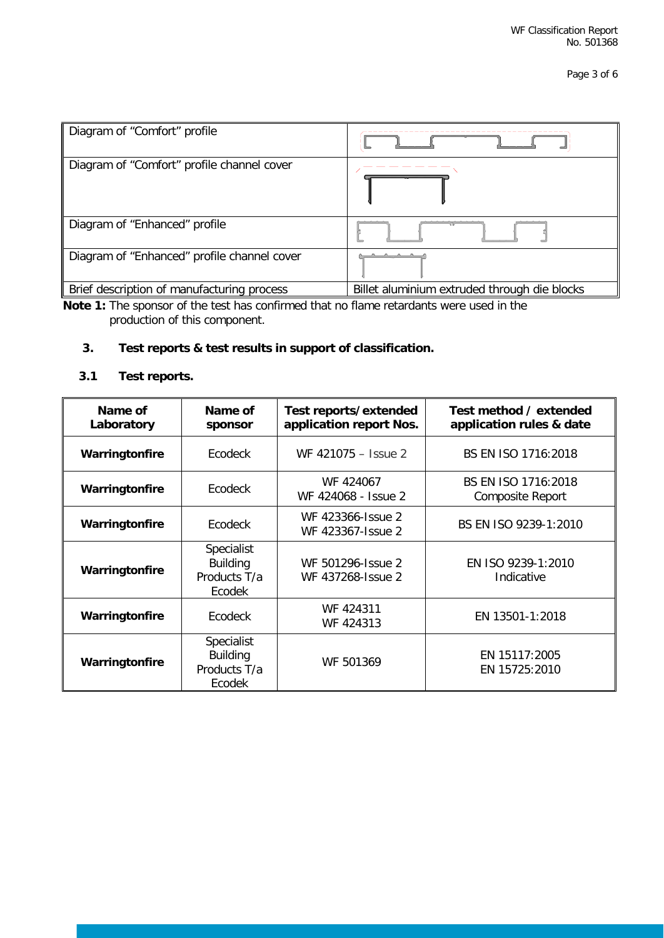| Diagram of "Comfort" profile                |                                              |
|---------------------------------------------|----------------------------------------------|
| Diagram of "Comfort" profile channel cover  |                                              |
| Diagram of "Enhanced" profile               |                                              |
| Diagram of "Enhanced" profile channel cover |                                              |
| Brief description of manufacturing process  | Billet aluminium extruded through die blocks |

**Note 1:** The sponsor of the test has confirmed that no flame retardants were used in the production of this component.

# **3. Test reports & test results in support of classification.**

# **3.1 Test reports.**

| Name of<br>Laboratory | Name of<br>sponsor                                             | Test reports/extended<br>application report Nos. | Test method / extended<br>application rules & date |
|-----------------------|----------------------------------------------------------------|--------------------------------------------------|----------------------------------------------------|
| Warringtonfire        | Ecodeck                                                        | WF 421075 - Issue 2                              | BS EN ISO 1716:2018                                |
| Warringtonfire        | Ecodeck                                                        | WF 424067<br>WF 424068 - Issue 2                 | BS EN ISO 1716:2018<br><b>Composite Report</b>     |
| Warringtonfire        | Ecodeck                                                        | WF 423366-1ssue 2<br>WF 423367-1ssue 2           | BS EN ISO 9239-1:2010                              |
| Warringtonfire        | <b>Specialist</b><br><b>Building</b><br>Products T/a<br>Ecodek | WF 501296-1ssue 2<br>WF 437268-1ssue 2           | EN ISO 9239-1:2010<br>Indicative                   |
| Warringtonfire        | <b>Ecodeck</b>                                                 | WF 424311<br>WF 424313                           | EN 13501-1:2018                                    |
| Warringtonfire        | <b>Specialist</b><br><b>Building</b><br>Products T/a<br>Ecodek | WF 501369                                        | EN 15117:2005<br>EN 15725:2010                     |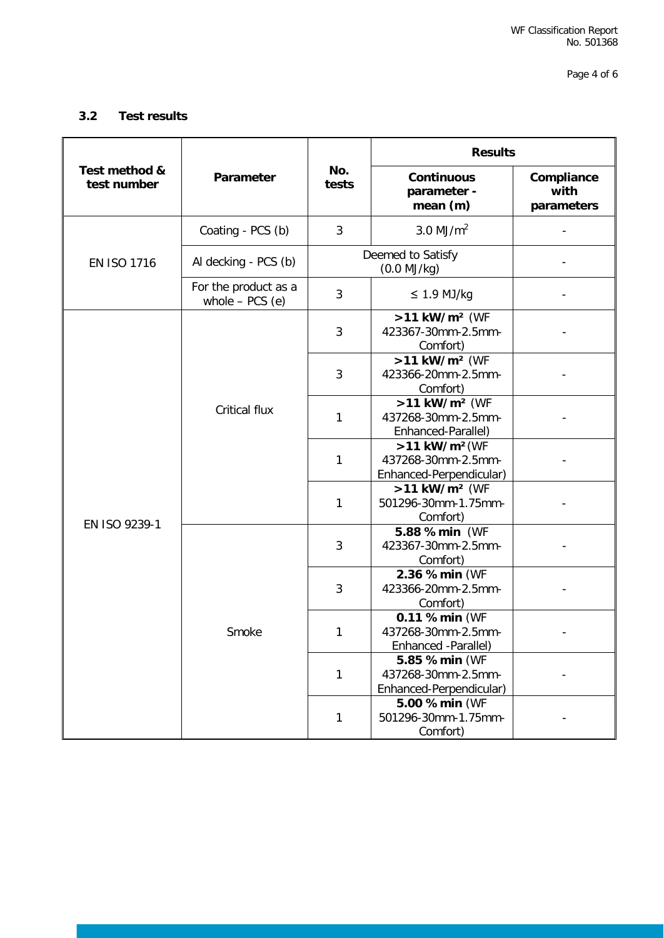Page 4 of 6

## **3.2 Test results**

|                              | Parameter                                 | No.<br>tests                          | <b>Results</b>                                                               |                                  |
|------------------------------|-------------------------------------------|---------------------------------------|------------------------------------------------------------------------------|----------------------------------|
| Test method &<br>test number |                                           |                                       | <b>Continuous</b><br>parameter -<br>mean (m)                                 | Compliance<br>with<br>parameters |
| EN ISO 1716                  | Coating - PCS (b)                         | 3                                     | $3.0$ MJ/m <sup>2</sup>                                                      |                                  |
|                              | Al decking - PCS (b)                      | Deemed to Satisfy<br>$(0.0$ MJ/kg $)$ |                                                                              |                                  |
|                              | For the product as a<br>whole $-$ PCS (e) | 3                                     | $\leq$ 1.9 MJ/kg                                                             |                                  |
| EN ISO 9239-1                | <b>Critical flux</b>                      | 3                                     | >11 kW/m <sup>2</sup> (WF<br>423367-30mm-2.5mm-<br>Comfort)                  |                                  |
|                              |                                           | 3                                     | >11 kW/m <sup>2</sup> (WF<br>423366-20mm-2.5mm-<br>Comfort)                  |                                  |
|                              |                                           | 1                                     | >11 kW/m <sup>2</sup> (WF<br>437268-30mm-2.5mm-<br>Enhanced-Parallel)        |                                  |
|                              |                                           | $\mathbf{1}$                          | $>11$ kW/m <sup>2</sup> (WF<br>437268-30mm-2.5mm-<br>Enhanced-Perpendicular) |                                  |
|                              |                                           | $\mathbf{1}$                          | >11 kW/m <sup>2</sup> (WF<br>501296-30mm-1.75mm-<br>Comfort)                 |                                  |
|                              | Smoke                                     | 3                                     | 5.88 %min (WF<br>423367-30mm-2.5mm-<br>Comfort)                              |                                  |
|                              |                                           | 3                                     | 2.36 %min (WF<br>423366-20mm-2.5mm-<br>Comfort)                              |                                  |
|                              |                                           | 1                                     | 0.11 %min (WF<br>437268-30mm-2.5mm-<br>Enhanced -Parallel)                   |                                  |
|                              |                                           | 1                                     | 5.85 %min (WF<br>437268-30mm-2.5mm-<br>Enhanced-Perpendicular)               |                                  |
|                              |                                           | 1                                     | 5.00 %min (WF<br>501296-30mm-1.75mm-<br>Comfort)                             |                                  |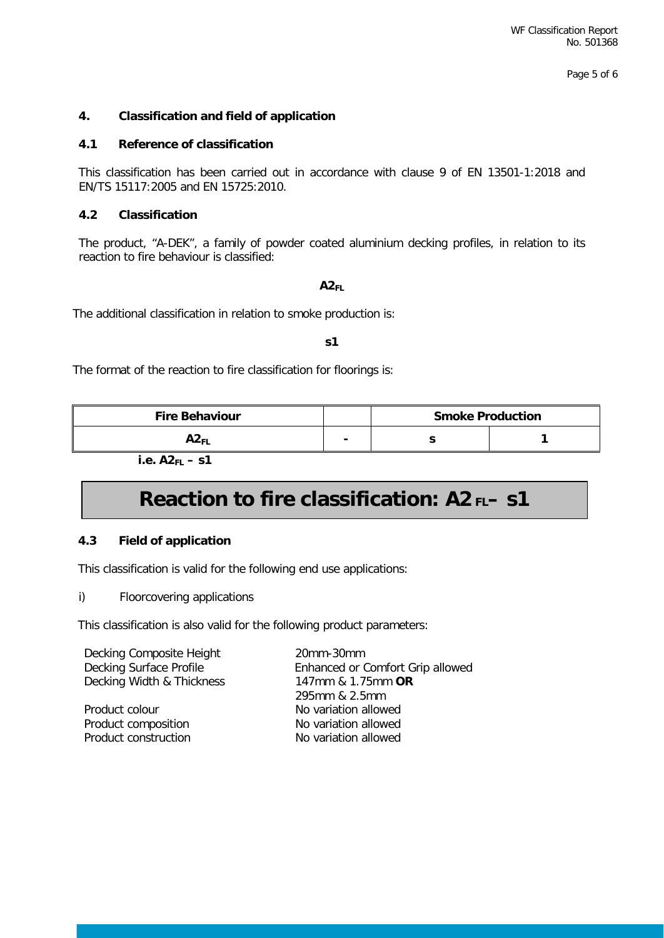## **4. Classification and field of application**

#### **4.1 Reference of classification**

This classification has been carried out in accordance with clause 9 of EN 13501-1:2018 and EN/TS 15117:2005 and EN 15725:2010.

#### **4.2 Classification**

The product, "A-DEK", a family of powder coated aluminium decking profiles, in relation to its reaction to fire behaviour is classified:

#### **A2FL**

The additional classification in relation to smoke production is:

#### **s1**

The format of the reaction to fire classification for floorings is:

| <b>Fire Behaviour</b> |   | <b>Smoke Production</b> |  |
|-----------------------|---|-------------------------|--|
| AZ FL                 | - |                         |  |

 **i.e. A2FL – s1** 

# **Reaction to fire classification: A2 FL– s1**

#### **4.3 Field of application**

This classification is valid for the following end use applications:

i) Floorcovering applications

This classification is also valid for the following product parameters:

| Decking Composite Height<br>Decking Surface Profile | 20mm-30mm<br>Enhanced or Comfort Grip allowed |
|-----------------------------------------------------|-----------------------------------------------|
| Decking Width & Thickness                           | 147mm & 1.75mm OR                             |
|                                                     | 295mm & 2.5mm                                 |
| Product colour                                      | No variation allowed                          |
| Product composition                                 | No variation allowed                          |
| Product construction                                | No variation allowed                          |
|                                                     |                                               |